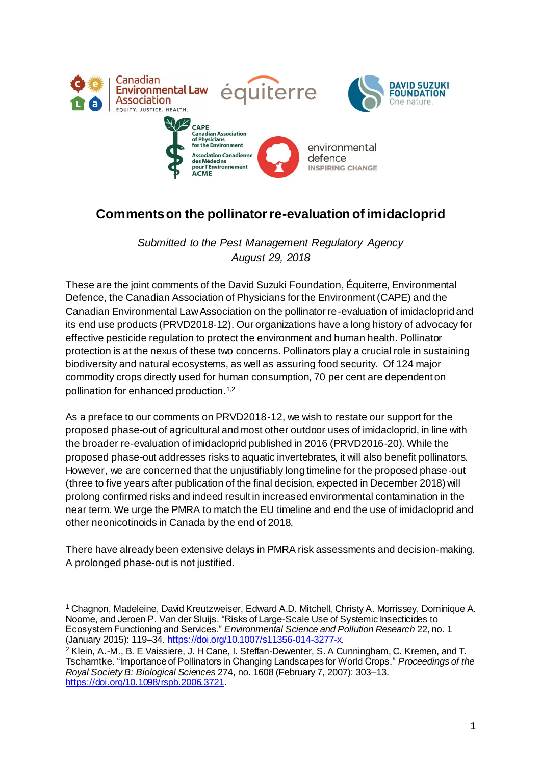

# **Comments on the pollinator re-evaluation of imidacloprid**

*Submitted to the Pest Management Regulatory Agency August 29, 2018*

These are the joint comments of the David Suzuki Foundation, Équiterre, Environmental Defence, the Canadian Association of Physicians for the Environment (CAPE) and the Canadian Environmental Law Association on the pollinator re-evaluation of imidacloprid and its end use products (PRVD2018-12). Our organizations have a long history of advocacy for effective pesticide regulation to protect the environment and human health. Pollinator protection is at the nexus of these two concerns. Pollinators play a crucial role in sustaining biodiversity and natural ecosystems, as well as assuring food security. Of 124 major commodity crops directly used for human consumption, 70 per cent are dependent on pollination for enhanced production.1,2

As a preface to our comments on PRVD2018-12, we wish to restate our support for the proposed phase-out of agricultural and most other outdoor uses of imidacloprid, in line with the broader re-evaluation of imidacloprid published in 2016 (PRVD2016-20). While the proposed phase-out addresses risks to aquatic invertebrates, it will also benefit pollinators. However, we are concerned that the unjustifiably long timeline for the proposed phase-out (three to five years after publication of the final decision, expected in December 2018) will prolong confirmed risks and indeed result in increased environmental contamination in the near term. We urge the PMRA to match the EU timeline and end the use of imidacloprid and other neonicotinoids in Canada by the end of 2018,

There have already been extensive delays in PMRA risk assessments and decision-making. A prolonged phase-out is not justified.

<sup>1</sup> Chagnon, Madeleine, David Kreutzweiser, Edward A.D. Mitchell, Christy A. Morrissey, Dominique A. Noome, and Jeroen P. Van der Sluijs. "Risks of Large-Scale Use of Systemic Insecticides to Ecosystem Functioning and Services." *Environmental Science and Pollution Research* 22, no. 1 (January 2015): 119–34[. https://doi.org/10.1007/s11356-014-3277-x](https://doi.org/10.1007/s11356-014-3277-x).

<sup>2</sup> Klein, A.-M., B. E Vaissiere, J. H Cane, I. Steffan-Dewenter, S. A Cunningham, C. Kremen, and T. Tscharntke. "Importance of Pollinators in Changing Landscapes for World Crops." *Proceedings of the Royal Society B: Biological Sciences* 274, no. 1608 (February 7, 2007): 303–13. <https://doi.org/10.1098/rspb.2006.3721>.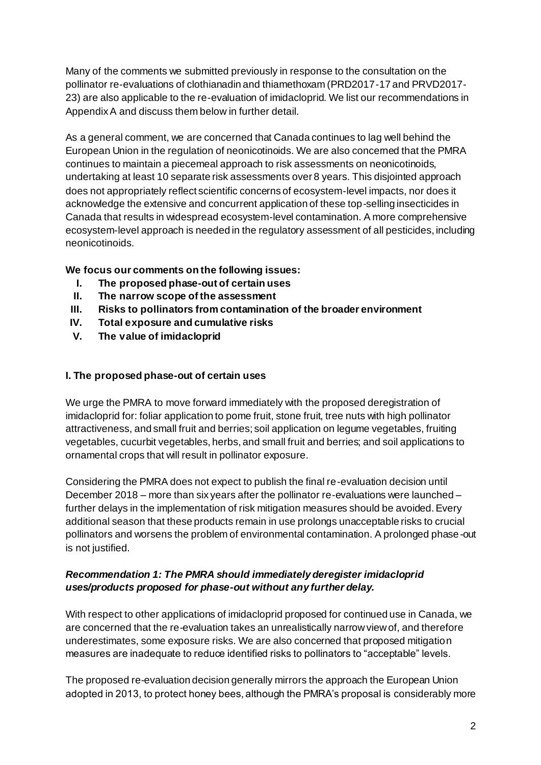Many of the comments we submitted previously in response to the consultation on the pollinator re-evaluations of clothianadin and thiamethoxam (PRD2017-17 and PRVD2017- 23) are also applicable to the re-evaluation of imidacloprid. We list our recommendations in Appendix A and discuss them below in further detail.

As a general comment, we are concerned that Canada continues to lag well behind the European Union in the regulation of neonicotinoids. We are also concerned that the PMRA continues to maintain a piecemeal approach to risk assessments on neonicotinoids, undertaking at least 10 separate risk assessments over 8 years. This disjointed approach does not appropriately reflect scientific concerns of ecosystem-level impacts, nor does it acknowledge the extensive and concurrent application of these top-selling insecticides in Canada that results in widespread ecosystem-level contamination. A more comprehensive ecosystem-level approach is needed in the regulatory assessment of all pesticides, including neonicotinoids.

## **We focus our comments on the following issues:**

- **I. The proposed phase-out of certain uses**
- **II. The narrow scope of the assessment**
- **III. Risks to pollinators from contamination of the broader environment**
- **IV. Total exposure and cumulative risks**
- **V. The value of imidacloprid**

#### **I. The proposed phase-out of certain uses**

We urge the PMRA to move forward immediately with the proposed deregistration of imidacloprid for: foliar application to pome fruit, stone fruit, tree nuts with high pollinator attractiveness, and small fruit and berries; soil application on legume vegetables, fruiting vegetables, cucurbit vegetables, herbs, and small fruit and berries; and soil applications to ornamental crops that will result in pollinator exposure.

Considering the PMRA does not expect to publish the final re-evaluation decision until December 2018 – more than six years after the pollinator re-evaluations were launched – further delays in the implementation of risk mitigation measures should be avoided. Every additional season that these products remain in use prolongs unacceptable risks to crucial pollinators and worsens the problem of environmental contamination. A prolonged phase-out is not justified.

## *Recommendation 1: The PMRA should immediately deregister imidacloprid uses/products proposed for phase-out without any further delay.*

With respect to other applications of imidacloprid proposed for continued use in Canada, we are concerned that the re-evaluation takes an unrealistically narrow view of, and therefore underestimates, some exposure risks. We are also concerned that proposed mitigation measures are inadequate to reduce identified risks to pollinators to "acceptable" levels.

The proposed re-evaluation decision generally mirrors the approach the European Union adopted in 2013, to protect honey bees, although the PMRA's proposal is considerably more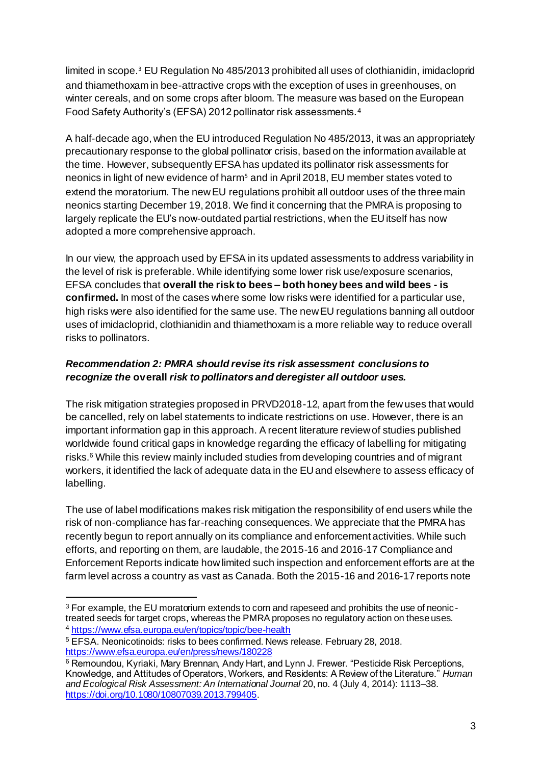limited in scope. <sup>3</sup> EU Regulation No 485/2013 prohibited all uses of clothianidin, imidacloprid and thiamethoxam in bee-attractive crops with the exception of uses in greenhouses, on winter cereals, and on some crops after bloom. The measure was based on the European Food Safety Authority's (EFSA) 2012 pollinator risk assessments.<sup>4</sup>

A half-decade ago, when the EU introduced Regulation No 485/2013, it was an appropriately precautionary response to the global pollinator crisis, based on the information available at the time. However, subsequently EFSA has updated its pollinator risk assessments for neonics in light of new evidence of harm<sup>5</sup> and in April 2018, EU member states voted to extend the moratorium. The new EU regulations prohibit all outdoor uses of the three main neonics starting December 19, 2018. We find it concerning that the PMRA is proposing to largely replicate the EU's now-outdated partial restrictions, when the EU itself has now adopted a more comprehensive approach.

In our view, the approach used by EFSA in its updated assessments to address variability in the level of risk is preferable. While identifying some lower risk use/exposure scenarios, EFSA concludes that **overall the risk to bees – both honey bees and wild bees - is confirmed.** In most of the cases where some low risks were identified for a particular use, high risks were also identified for the same use. The new EU regulations banning all outdoor uses of imidacloprid, clothianidin and thiamethoxam is a more reliable way to reduce overall risks to pollinators.

#### *Recommendation 2: PMRA should revise its risk assessment conclusions to recognize the* **overall** *risk to pollinators and deregister all outdoor uses.*

The risk mitigation strategies proposed in PRVD2018-12, apart from the few uses that would be cancelled, rely on label statements to indicate restrictions on use. However, there is an important information gap in this approach. A recent literature review of studies published worldwide found critical gaps in knowledge regarding the efficacy of labelling for mitigating risks.<sup>6</sup> While this review mainly included studies from developing countries and of migrant workers, it identified the lack of adequate data in the EU and elsewhere to assess efficacy of labelling.

The use of label modifications makes risk mitigation the responsibility of end users while the risk of non-compliance has far-reaching consequences. We appreciate that the PMRA has recently begun to report annually on its compliance and enforcement activities. While such efforts, and reporting on them, are laudable, the 2015-16 and 2016-17 Compliance and Enforcement Reports indicate how limited such inspection and enforcement efforts are at the farm level across a country as vast as Canada. Both the 2015-16 and 2016-17 reports note

l <sup>3</sup> For example, the EU moratorium extends to corn and rapeseed and prohibits the use of neonictreated seeds for target crops, whereas the PMRA proposes no regulatory action on these uses. <sup>4</sup> <https://www.efsa.europa.eu/en/topics/topic/bee-health>

<sup>5</sup> EFSA. Neonicotinoids: risks to bees confirmed. News release. February 28, 2018. <https://www.efsa.europa.eu/en/press/news/180228>

<sup>&</sup>lt;sup>6</sup> Remoundou, Kyriaki, Mary Brennan, Andy Hart, and Lynn J. Frewer. "Pesticide Risk Perceptions, Knowledge, and Attitudes of Operators, Workers, and Residents: A Review of the Literature." *Human and Ecological Risk Assessment: An International Journal* 20, no. 4 (July 4, 2014): 1113–38. <https://doi.org/10.1080/10807039.2013.799405>.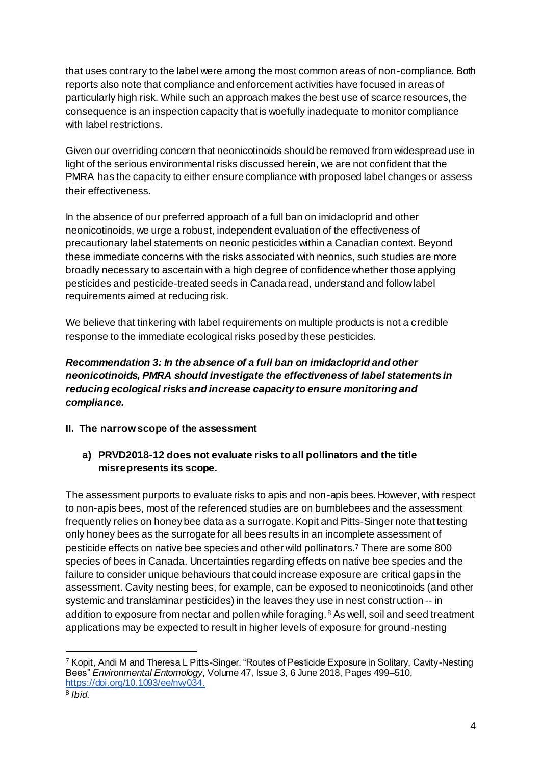that uses contrary to the label were among the most common areas of non-compliance. Both reports also note that compliance and enforcement activities have focused in areas of particularly high risk. While such an approach makes the best use of scarce resources, the consequence is an inspection capacity that is woefully inadequate to monitor compliance with label restrictions.

Given our overriding concern that neonicotinoids should be removed from widespread use in light of the serious environmental risks discussed herein, we are not confident that the PMRA has the capacity to either ensure compliance with proposed label changes or assess their effectiveness.

In the absence of our preferred approach of a full ban on imidacloprid and other neonicotinoids, we urge a robust, independent evaluation of the effectiveness of precautionary label statements on neonic pesticides within a Canadian context. Beyond these immediate concerns with the risks associated with neonics, such studies are more broadly necessary to ascertain with a high degree of confidence whether those applying pesticides and pesticide-treated seeds in Canada read, understand and follow label requirements aimed at reducing risk.

We believe that tinkering with label requirements on multiple products is not a credible response to the immediate ecological risks posed by these pesticides.

## *Recommendation 3: In the absence of a full ban on imidacloprid and other neonicotinoids, PMRA should investigate the effectiveness of label statements in reducing ecological risks and increase capacity to ensure monitoring and compliance.*

#### **II. The narrow scope of the assessment**

## **a) PRVD2018-12 does not evaluate risks to all pollinators and the title misrepresents its scope.**

The assessment purports to evaluate risks to apis and non-apis bees. However, with respect to non-apis bees, most of the referenced studies are on bumblebees and the assessment frequently relies on honey bee data as a surrogate.Kopit and Pitts-Singer note that testing only honey bees as the surrogate for all bees results in an incomplete assessment of pesticide effects on native bee species and other wild pollinators.<sup>7</sup> There are some 800 species of bees in Canada. Uncertainties regarding effects on native bee species and the failure to consider unique behaviours that could increase exposure are critical gaps in the assessment. Cavity nesting bees, for example, can be exposed to neonicotinoids (and other systemic and translaminar pesticides) in the leaves they use in nest construction -- in addition to exposure from nectar and pollen while foraging.<sup>8</sup> As well, soil and seed treatment applications may be expected to result in higher levels of exposure for ground-nesting

<sup>7</sup> Kopit, Andi M and Theresa L Pitts-Singer. "Routes of Pesticide Exposure in Solitar[y, Cavity-Nesting](https://doi.org/10.1093/ee/nvy034)  Bees" *Environmental Entomology*, Volume 47, Issue 3, 6 June 2018, Pages 499–510, [https://doi.org/10.1093/ee/nvy034.](https://doi.org/10.1093/ee/nvy034)

<sup>8</sup> *Ibid.*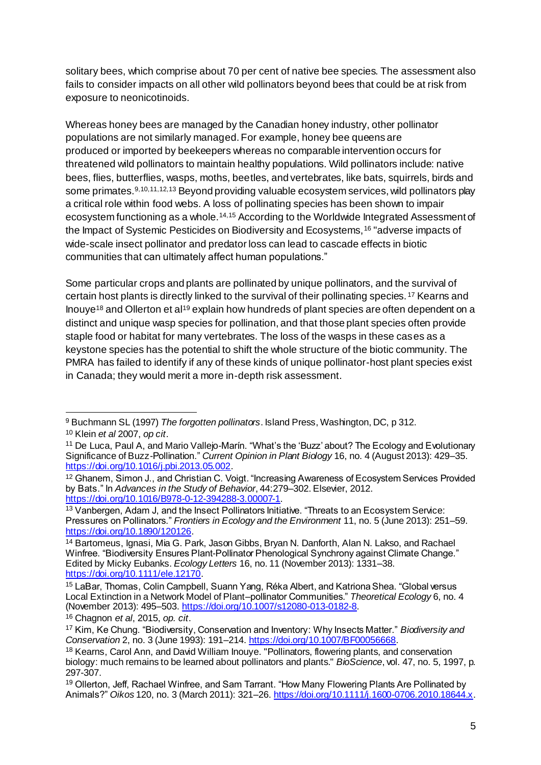solitary bees, which comprise about 70 per cent of native bee species. The assessment also fails to consider impacts on all other wild pollinators beyond bees that could be at risk from exposure to neonicotinoids.

Whereas honey bees are managed by the Canadian honey industry, other pollinator populations are not similarly managed. For example, honey bee queens are produced or imported by beekeepers whereas no comparable intervention occurs for threatened wild pollinators to maintain healthy populations. Wild pollinators include: native bees, flies, butterflies, wasps, moths, beetles, and vertebrates, like bats, squirrels, birds and some primates.<sup>9,10,11,12,13</sup> Beyond providing valuable ecosystem services, wild pollinators play a critical role within food webs. A loss of pollinating species has been shown to impair ecosystem functioning as a whole.14,15 According to the Worldwide Integrated Assessment of the Impact of Systemic Pesticides on Biodiversity and Ecosystems,<sup>16</sup> "adverse impacts of wide-scale insect pollinator and predator loss can lead to cascade effects in biotic communities that can ultimately affect human populations."

Some particular crops and plants are pollinated by unique pollinators, and the survival of certain host plants is directly linked to the survival of their pollinating species. <sup>17</sup> Kearns and Inouye<sup>18</sup> and Ollerton et al<sup>19</sup> explain how hundreds of plant species are often dependent on a distinct and unique wasp species for pollination, and that those plant species often provide staple food or habitat for many vertebrates. The loss of the wasps in these cases as a keystone species has the potential to shift the whole structure of the biotic community. The PMRA has failed to identify if any of these kinds of unique pollinator-host plant species exist in Canada; they would merit a more in-depth risk assessment.

l <sup>9</sup> Buchmann SL (1997) *The forgotten pollinators*. Island Press, Washington, DC, p 312. <sup>10</sup> Klein *et al* 2007, *op cit*.

<sup>11</sup> De Luca, Paul A, and Mario Vallejo-Marín. "What's the 'Buzz' about? The Ecology and Evolutionary Significance of Buzz-Pollination." *Current Opinion in Plant Biology* 16, no. 4 (August 2013): 429–35. <https://doi.org/10.1016/j.pbi.2013.05.002>.

<sup>12</sup> Ghanem, Simon J., and Christian C. Voigt. "Increasing Awareness of Ecosystem Services Provided by Bats." In *Advances in the Study of Behavior*, 44:279–302. Elsevier, 2012. <https://doi.org/10.1016/B978-0-12-394288-3.00007-1>.

<sup>13</sup> Vanbergen, Adam J, and the Insect Pollinators Initiative. "Threats to an Ecosystem Service: Pressures on Pollinators." *Frontiers in Ecology and the Environment* 11, no. 5 (June 2013): 251–59. <https://doi.org/10.1890/120126>.

<sup>14</sup> Bartomeus, Ignasi, Mia G. Park, Jason Gibbs, Bryan N. Danforth, Alan N. Lakso, and Rachael Winfree. "Biodiversity Ensures Plant-Pollinator Phenological Synchrony against Climate Change." Edited by Micky Eubanks. *Ecology Letters* 16, no. 11 (November 2013): 1331–38. <https://doi.org/10.1111/ele.12170>.

<sup>15</sup> LaBar, Thomas, Colin Campbell, Suann Yang, Réka Albert, and Katriona Shea. "Global versus Local Extinction in a Network Model of Plant–pollinator Communities." *Theoretical Ecology* 6, no. 4 (November 2013): 495–503.<https://doi.org/10.1007/s12080-013-0182-8>.

<sup>16</sup> Chagnon *et al*, 2015, *op. cit*.

<sup>17</sup> Kim, Ke Chung. "Biodiversity, Conservation and Inventory: Why Insects Matter." *Biodiversity and Conservation* 2, no. 3 (June 1993): 191–214[. https://doi.org/10.1007/BF00056668](https://doi.org/10.1007/BF00056668).

<sup>18</sup> Kearns, Carol Ann, and David William Inouye. "Pollinators, flowering plants, and conservation biology: much remains to be learned about pollinators and plants." *BioScience*, vol. 47, no. 5, 1997, p. 297-307.

<sup>&</sup>lt;sup>19</sup> Ollerton, Jeff, Rachael Winfree, and Sam Tarrant. "How Many Flowering Plants Are Pollinated by Animals?" *Oikos* 120, no. 3 (March 2011): 321–26[. https://doi.org/10.1111/j.1600-0706.2010.18644.x](https://doi.org/10.1111/j.1600-0706.2010.18644.x).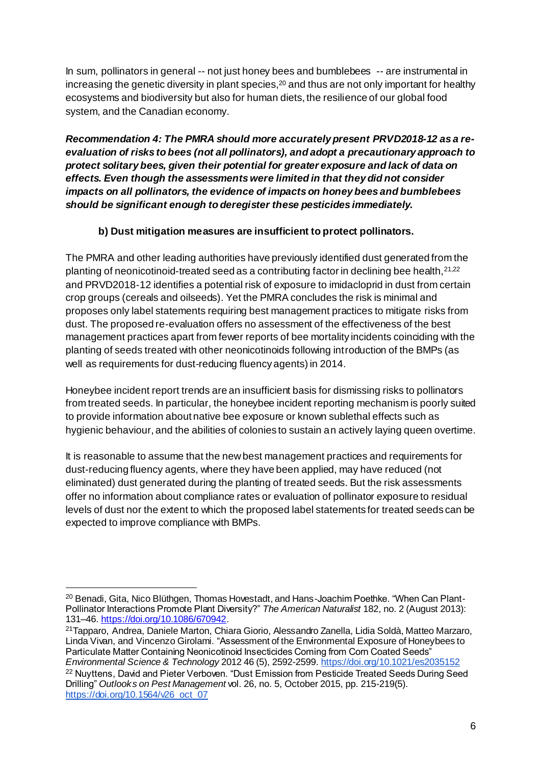In sum, pollinators in general -- not just honey bees and bumblebees -- are instrumental in increasing the genetic diversity in plant species,<sup>20</sup> and thus are not only important for healthy ecosystems and biodiversity but also for human diets, the resilience of our global food system, and the Canadian economy.

*Recommendation 4: The PMRA should more accurately present PRVD2018-12 as a reevaluation of risks to bees (not all pollinators), and adopt a precautionary approach to protect solitary bees, given their potential for greater exposure and lack of data on effects. Even though the assessments were limited in that they did not consider impacts on all pollinators, the evidence of impacts on honey bees and bumblebees should be significant enough to deregister these pesticides immediately.*

## **b) Dust mitigation measures are insufficient to protect pollinators.**

The PMRA and other leading authorities have previously identified dust generated from the planting of neonicotinoid-treated seed as a contributing factor in declining bee health, 21,22 and PRVD2018-12 identifies a potential risk of exposure to imidacloprid in dust from certain crop groups (cereals and oilseeds). Yet the PMRA concludes the risk is minimal and proposes only label statements requiring best management practices to mitigate risks from dust. The proposed re-evaluation offers no assessment of the effectiveness of the best management practices apart from fewer reports of bee mortality incidents coinciding with the planting of seeds treated with other neonicotinoids following introduction of the BMPs (as well as requirements for dust-reducing fluency agents) in 2014.

Honeybee incident report trends are an insufficient basis for dismissing risks to pollinators from treated seeds. In particular, the honeybee incident reporting mechanism is poorly suited to provide information about native bee exposure or known sublethal effects such as hygienic behaviour, and the abilities of colonies to sustain an actively laying queen overtime.

It is reasonable to assume that the new best management practices and requirements for dust-reducing fluency agents, where they have been applied, may have reduced (not eliminated) dust generated during the planting of treated seeds. But the risk assessments offer no information about compliance rates or evaluation of pollinator exposure to residual levels of dust nor the extent to which the proposed label statements for treated seeds can be expected to improve compliance with BMPs.

[https://doi.org/10.1564/v26\\_oct\\_07](https://doi.org/10.1564/v26_oct_07)

<sup>&</sup>lt;sup>20</sup> Benadi, Gita, Nico Blüthgen, Thomas Hovestadt, and Hans-Joachim Poethke. "When Can Plant-Pollinator Interactions Promote Plant Diversity?" *The American Naturalist* 182, no. 2 (August 2013): 131–46.<https://doi.org/10.1086/670942>.

<sup>21</sup>Tapparo, Andrea, Daniele Marton, Chiara Giorio, Alessandro Zanella, Lidia Soldà, Matteo Marzaro, Linda Vivan, and Vincenzo Girolami. "Assessment of the Environmental Exposure of Honeybees to Particulate Matter Containing Neonicotinoid Insecticides Coming from Corn Coated Seeds" *Environmental Science & Technology* 2012 46 (5), 2592-2599[. https://doi.org/10.1021/es2035152](https://doi.org/10.1021/es2035152) <sup>22</sup> Nuvttens, David and Pieter Verboven. "Dust Emission from Pesticide Treated Seeds During Seed Drilling" *Outlooks on Pest Management* vol. 26, no. 5, October 2015, pp. 215-219(5).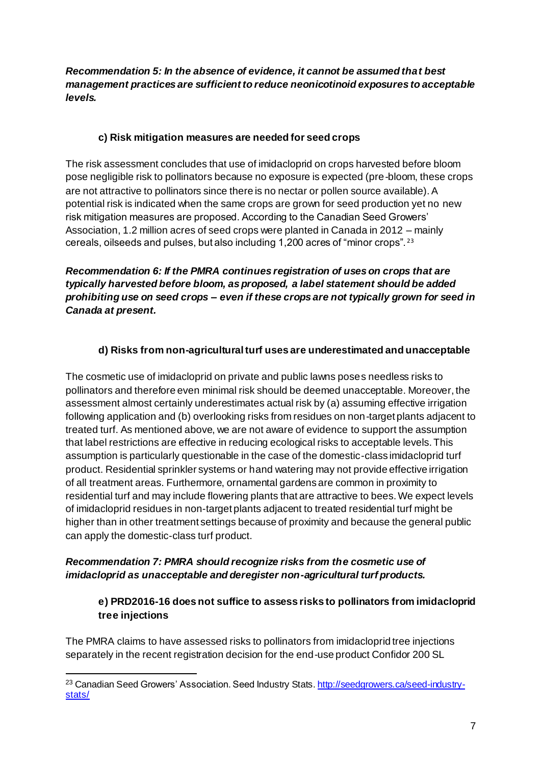#### *Recommendation 5: In the absence of evidence, it cannot be assumed that best management practices are sufficient to reduce neonicotinoid exposures to acceptable levels.*

## **c) Risk mitigation measures are needed for seed crops**

The risk assessment concludes that use of imidacloprid on crops harvested before bloom pose negligible risk to pollinators because no exposure is expected (pre-bloom, these crops are not attractive to pollinators since there is no nectar or pollen source available). A potential risk is indicated when the same crops are grown for seed production yet no new risk mitigation measures are proposed. According to the Canadian Seed Growers' Association, 1.2 million acres of seed crops were planted in Canada in 2012 – mainly cereals, oilseeds and pulses, but also including 1,200 acres of "minor crops". <sup>23</sup>

*Recommendation 6: If the PMRA continues registration of uses on crops that are typically harvested before bloom, as proposed, a label statement should be added prohibiting use on seed crops* **–** *even if these crops are not typically grown for seed in Canada at present.*

## **d) Risks from non-agricultural turf uses are underestimated and unacceptable**

The cosmetic use of imidacloprid on private and public lawns poses needless risks to pollinators and therefore even minimal risk should be deemed unacceptable. Moreover, the assessment almost certainly underestimates actual risk by (a) assuming effective irrigation following application and (b) overlooking risks from residues on non-target plants adjacent to treated turf. As mentioned above, we are not aware of evidence to support the assumption that label restrictions are effective in reducing ecological risks to acceptable levels. This assumption is particularly questionable in the case of the domestic-class imidacloprid turf product. Residential sprinkler systems or hand watering may not provide effective irrigation of all treatment areas. Furthermore, ornamental gardens are common in proximity to residential turf and may include flowering plants that are attractive to bees. We expect levels of imidacloprid residues in non-target plants adjacent to treated residential turf might be higher than in other treatment settings because of proximity and because the general public can apply the domestic-class turf product.

#### *Recommendation 7: PMRA should recognize risks from the cosmetic use of imidacloprid as unacceptable and deregister non-agricultural turf products.*

## **e) PRD2016-16 does not suffice to assess risks to pollinators from imidacloprid tree injections**

The PMRA claims to have assessed risks to pollinators from imidacloprid tree injections separately in the recent registration decision for the end-use product Confidor 200 SL

<sup>&</sup>lt;sup>23</sup> Canadian Seed Growers' Association. Seed Industry Stats[. http://seedgrowers.ca/seed-industry](http://seedgrowers.ca/seed-industry-stats/)[stats/](http://seedgrowers.ca/seed-industry-stats/)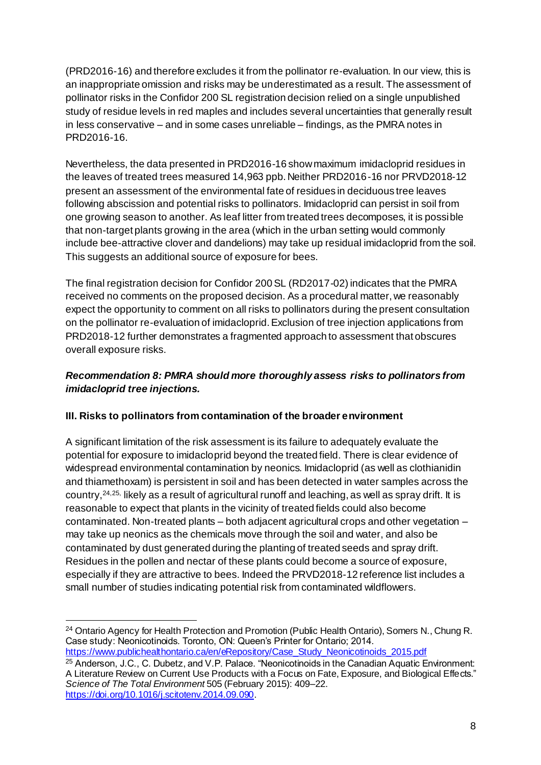(PRD2016-16) and therefore excludes it from the pollinator re-evaluation. In our view, this is an inappropriate omission and risks may be underestimated as a result. The assessment of pollinator risks in the Confidor 200 SL registration decision relied on a single unpublished study of residue levels in red maples and includes several uncertainties that generally result in less conservative – and in some cases unreliable – findings, as the PMRA notes in PRD2016-16.

Nevertheless, the data presented in PRD2016-16 show maximum imidacloprid residues in the leaves of treated trees measured 14,963 ppb. Neither PRD2016-16 nor PRVD2018-12 present an assessment of the environmental fate of residues in deciduous tree leaves following abscission and potential risks to pollinators. Imidacloprid can persist in soil from one growing season to another. As leaf litter from treated trees decomposes, it is possible that non-target plants growing in the area (which in the urban setting would commonly include bee-attractive clover and dandelions) may take up residual imidacloprid from the soil. This suggests an additional source of exposure for bees.

The final registration decision for Confidor 200 SL (RD2017-02) indicates that the PMRA received no comments on the proposed decision. As a procedural matter, we reasonably expect the opportunity to comment on all risks to pollinators during the present consultation on the pollinator re-evaluation of imidacloprid. Exclusion of tree injection applications from PRD2018-12 further demonstrates a fragmented approach to assessment that obscures overall exposure risks.

## *Recommendation 8: PMRA should more thoroughly assess risks to pollinators from imidacloprid tree injections.*

## **III. Risks to pollinators from contamination of the broader environment**

A significant limitation of the risk assessment is its failure to adequately evaluate the potential for exposure to imidacloprid beyond the treated field. There is clear evidence of widespread environmental contamination by neonics. Imidacloprid (as well as clothianidin and thiamethoxam) is persistent in soil and has been detected in water samples across the country,24,25, likely as a result of agricultural runoff and leaching, as well as spray drift. It is reasonable to expect that plants in the vicinity of treated fields could also become contaminated. Non-treated plants – both adjacent agricultural crops and other vegetation – may take up neonics as the chemicals move through the soil and water, and also be contaminated by dust generated during the planting of treated seeds and spray drift. Residues in the pollen and nectar of these plants could become a source of exposure, especially if they are attractive to bees. Indeed the PRVD2018-12 reference list includes a small number of studies indicating potential risk from contaminated wildflowers.

[https://www.publichealthontario.ca/en/eRepository/Case\\_Study\\_Neonicotinoids\\_2015.pdf](https://www.publichealthontario.ca/en/eRepository/Case_Study_Neonicotinoids_2015.pdf)

<sup>25</sup> Anderson, J.C., C. Dubetz, and V.P. Palace. "Neonicotinoids in the Canadian Aquatic Environment: A Literature Review on Current Use Products with a Focus on Fate, Exposure, and Biological Effects." *Science of The Total Environment* 505 (February 2015): 409–22. <https://doi.org/10.1016/j.scitotenv.2014.09.090>.

 $\overline{a}$ <sup>24</sup> Ontario Agency for Health Protection and Promotion (Public Health Ontario), Somers N., Chung R. Case study: Neonicotinoids. Toronto, ON: Queen's Printer for Ontario; 2014.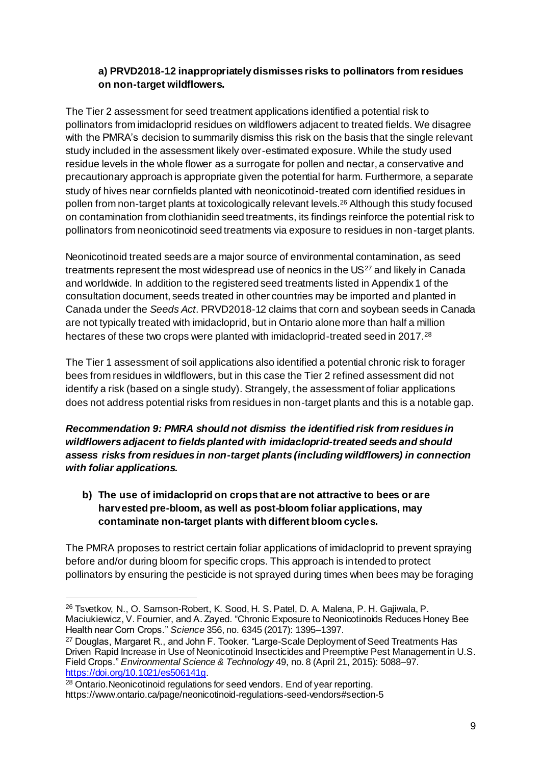#### **a) PRVD2018-12 inappropriately dismisses risks to pollinators from residues on non-target wildflowers.**

The Tier 2 assessment for seed treatment applications identified a potential risk to pollinators from imidacloprid residues on wildflowers adjacent to treated fields. We disagree with the PMRA's decision to summarily dismiss this risk on the basis that the single relevant study included in the assessment likely over-estimated exposure. While the study used residue levels in the whole flower as a surrogate for pollen and nectar, a conservative and precautionary approach is appropriate given the potential for harm. Furthermore, a separate study of hives near cornfields planted with neonicotinoid-treated corn identified residues in pollen from non-target plants at toxicologically relevant levels.<sup>26</sup> Although this study focused on contamination from clothianidin seed treatments, its findings reinforce the potential risk to pollinators from neonicotinoid seed treatments via exposure to residues in non-target plants.

Neonicotinoid treated seeds are a major source of environmental contamination, as seed treatments represent the most widespread use of neonics in the US<sup>27</sup> and likely in Canada and worldwide. In addition to the registered seed treatments listed in Appendix 1 of the consultation document, seeds treated in other countries may be imported and planted in Canada under the *Seeds Act*. PRVD2018-12 claims that corn and soybean seeds in Canada are not typically treated with imidacloprid, but in Ontario alone more than half a million hectares of these two crops were planted with imidacloprid-treated seed in 2017.<sup>28</sup>

The Tier 1 assessment of soil applications also identified a potential chronic risk to forager bees from residues in wildflowers, but in this case the Tier 2 refined assessment did not identify a risk (based on a single study). Strangely, the assessment of foliar applications does not address potential risks from residues in non-target plants and this is a notable gap.

*Recommendation 9: PMRA should not dismiss the identified risk from residues in wildflowers adjacent to fields planted with imidacloprid-treated seeds and should assess risks from residues in non-target plants (including wildflowers) in connection with foliar applications.*

**b) The use of imidacloprid on crops that are not attractive to bees or are harvested pre-bloom, as well as post-bloom foliar applications, may contaminate non-target plants with different bloom cycles.**

The PMRA proposes to restrict certain foliar applications of imidacloprid to prevent spraying before and/or during bloom for specific crops. This approach is intended to protect pollinators by ensuring the pesticide is not sprayed during times when bees may be foraging

<sup>26</sup> Tsvetkov, N., O. Samson-Robert, K. Sood, H. S. Patel, D. A. Malena, P. H. Gajiwala, P. Maciukiewicz, V. Fournier, and A. Zayed. "Chronic Exposure to Neonicotinoids Reduces Honey Bee Health near Corn Crops." *Science* 356, no. 6345 (2017): 1395–1397.

<sup>&</sup>lt;sup>27</sup> Douglas, Margaret R., and John F. Tooker. "Large-Scale Deployment of Seed Treatments Has Driven Rapid Increase in Use of Neonicotinoid Insecticides and Preemptive Pest Management in U.S. Field Crops." *Environmental Science & Technology* 49, no. 8 (April 21, 2015): 5088–97. <https://doi.org/10.1021/es506141g>.

<sup>28</sup> Ontario.Neonicotinoid regulations for seed vendors. End of year reporting. https://www.ontario.ca/page/neonicotinoid-regulations-seed-vendors#section-5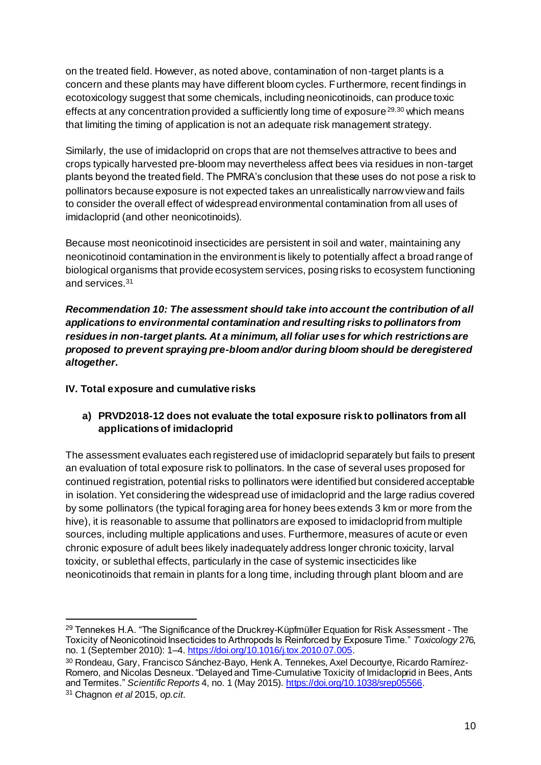on the treated field. However, as noted above, contamination of non-target plants is a concern and these plants may have different bloom cycles. Furthermore, recent findings in ecotoxicology suggest that some chemicals, including neonicotinoids, can produce toxic effects at any concentration provided a sufficiently long time of exposure  $^{29,30}$  which means that limiting the timing of application is not an adequate risk management strategy.

Similarly, the use of imidacloprid on crops that are not themselves attractive to bees and crops typically harvested pre-bloom may nevertheless affect bees via residues in non-target plants beyond the treated field. The PMRA's conclusion that these uses do not pose a risk to pollinators because exposure is not expected takes an unrealistically narrow view and fails to consider the overall effect of widespread environmental contamination from all uses of imidacloprid (and other neonicotinoids).

Because most neonicotinoid insecticides are persistent in soil and water, maintaining any neonicotinoid contamination in the environment is likely to potentially affect a broad range of biological organisms that provide ecosystem services, posing risks to ecosystem functioning and services.<sup>31</sup>

*Recommendation 10: The assessment should take into account the contribution of all applications to environmental contamination and resulting risks to pollinators from residues in non-target plants. At a minimum, all foliar uses for which restrictions are proposed to prevent spraying pre-bloom and/or during bloom should be deregistered altogether.*

#### **IV. Total exposure and cumulative risks**

## **a) PRVD2018-12 does not evaluate the total exposure risk to pollinators from all applications of imidacloprid**

The assessment evaluates each registered use of imidacloprid separately but fails to present an evaluation of total exposure risk to pollinators. In the case of several uses proposed for continued registration, potential risks to pollinators were identified but considered acceptable in isolation. Yet considering the widespread use of imidacloprid and the large radius covered by some pollinators (the typical foraging area for honey bees extends 3 km or more from the hive), it is reasonable to assume that pollinators are exposed to imidacloprid from multiple sources, including multiple applications and uses. Furthermore, measures of acute or even chronic exposure of adult bees likely inadequately address longer chronic toxicity, larval toxicity, or sublethal effects, particularly in the case of systemic insecticides like neonicotinoids that remain in plants for a long time, including through plant bloom and are

<sup>29</sup> Tennekes H.A. "The Significance of the Druckrey-Küpfmüller Equation for Risk Assessment - The Toxicity of Neonicotinoid Insecticides to Arthropods Is Reinforced by Exposure Time." *Toxicology* 276, no. 1 (September 2010): 1–4[. https://doi.org/10.1016/j.tox.2010.07.005](https://doi.org/10.1016/j.tox.2010.07.005).

<sup>30</sup> Rondeau, Gary, Francisco Sánchez-Bayo, Henk A. Tennekes, Axel Decourtye, Ricardo Ramírez-Romero, and Nicolas Desneux. "Delayed and Time-Cumulative Toxicity of Imidacloprid in Bees, Ants and Termites." *Scientific Reports* 4, no. 1 (May 2015)[. https://doi.org/10.1038/srep05566](https://doi.org/10.1038/srep05566).

<sup>31</sup> Chagnon *et al* 2015, *op.cit.*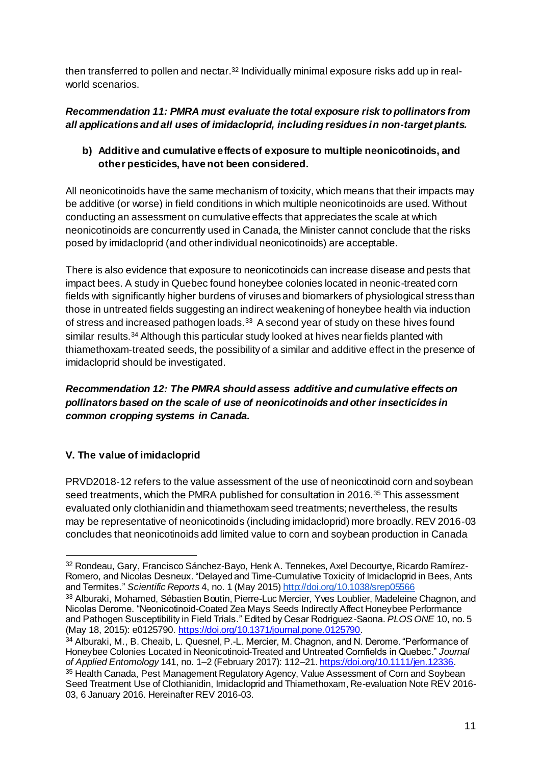then transferred to pollen and nectar.<sup>32</sup> Individually minimal exposure risks add up in realworld scenarios.

## *Recommendation 11: PMRA must evaluate the total exposure risk to pollinators from all applications and all uses of imidacloprid, including residues in non-target plants.*

## **b) Additive and cumulative effects of exposure to multiple neonicotinoids, and other pesticides, have not been considered.**

All neonicotinoids have the same mechanism of toxicity, which means that their impacts may be additive (or worse) in field conditions in which multiple neonicotinoids are used. Without conducting an assessment on cumulative effects that appreciates the scale at which neonicotinoids are concurrently used in Canada, the Minister cannot conclude that the risks posed by imidacloprid (and other individual neonicotinoids) are acceptable.

There is also evidence that exposure to neonicotinoids can increase disease and pests that impact bees. A study in Quebec found honeybee colonies located in neonic-treated corn fields with significantly higher burdens of viruses and biomarkers of physiological stress than those in untreated fields suggesting an indirect weakening of honeybee health via induction of stress and increased pathogen loads.<sup>33</sup> A second year of study on these hives found similar results.<sup>34</sup> Although this particular study looked at hives near fields planted with thiamethoxam-treated seeds, the possibility of a similar and additive effect in the presence of imidacloprid should be investigated.

#### *Recommendation 12: The PMRA should assess additive and cumulative effects on pollinators based on the scale of use of neonicotinoids and other insecticides in common cropping systems in Canada.*

# **V. The value of imidacloprid**

 $\overline{a}$ 

PRVD2018-12 refers to the value assessment of the use of neonicotinoid corn and soybean seed treatments, which the PMRA published for consultation in 2016.<sup>35</sup> This assessment evaluated only clothianidin and thiamethoxam seed treatments; nevertheless, the results may be representative of neonicotinoids (including imidacloprid) more broadly. REV 2016-03 concludes that neonicotinoids add limited value to corn and soybean production in Canada

<sup>32</sup> Rondeau, Gary, Francisco Sánchez-Bayo, Henk A. Tennekes, Axel Decourtye, Ricardo Ramírez-Romero, and Nicolas Desneux. "Delayed and Time-Cumulative Toxicity of Imidacloprid in Bees, Ants and Termites." *Scientific Reports* 4, no. 1 (May 2015[\) http://doi.org/10.1038/srep05566](http://doi.org/10.1038/srep05566) <sup>33</sup> Alburaki, Mohamed, Sébastien Boutin, Pierre-Luc Mercier, Yves Loublier, Madeleine Chagnon, and

Nicolas Derome. "Neonicotinoid-Coated Zea Mays Seeds Indirectly Affect Honeybee Performance and Pathogen Susceptibility in Field Trials." Edited by Cesar Rodriguez-Saona. *PLOS ONE* 10, no. 5 (May 18, 2015): e0125790[. https://doi.org/10.1371/journal.pone.0125790](https://doi.org/10.1371/journal.pone.0125790).

<sup>34</sup> Alburaki, M., B. Cheaib, L. Quesnel, P.-L. Mercier, M. Chagnon, and N. Derome. "Performance of Honeybee Colonies Located in Neonicotinoid-Treated and Untreated Cornfields in Quebec." *Journal of Applied Entomology* 141, no. 1–2 (February 2017): 112–2[1. https://doi.org/10.1111/jen.12336](https://doi.org/10.1111/jen.12336). <sup>35</sup> Health Canada, Pest Management Regulatory Agency, Value Assessment of Corn and Soybean Seed Treatment Use of Clothianidin, Imidacloprid and Thiamethoxam, Re-evaluation Note REV 2016- 03, 6 January 2016. Hereinafter REV 2016-03.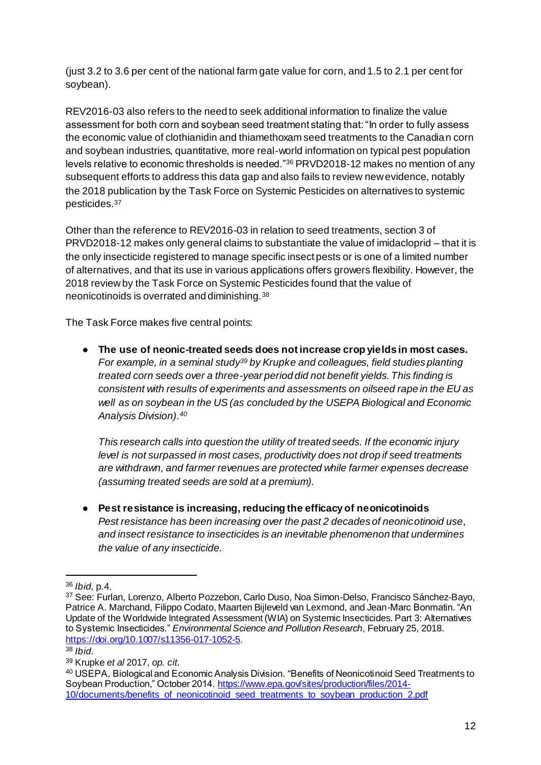(just 3.2 to 3.6 per cent of the national farm gate value for corn, and 1.5 to 2.1 per cent for soybean).

REV2016-03 also refers to the need to seek additional information to finalize the value assessment for both corn and soybean seed treatment stating that: "In order to fully assess the economic value of clothianidin and thiamethoxam seed treatments to the Canadian corn and soybean industries, quantitative, more real-world information on typical pest population levels relative to economic thresholds is needed."<sup>36</sup> PRVD2018-12 makes no mention of any subsequent efforts to address this data gap and also fails to review new evidence, notably the 2018 publication by the Task Force on Systemic Pesticides on alternatives to systemic pesticides.<sup>37</sup>

Other than the reference to REV2016-03 in relation to seed treatments, section 3 of PRVD2018-12 makes only general claims to substantiate the value of imidacloprid – that it is the only insecticide registered to manage specific insect pests or is one of a limited number of alternatives, and that its use in various applications offers growers flexibility. However, the 2018 review by the Task Force on Systemic Pesticides found that the value of neonicotinoids is overrated and diminishing.<sup>38</sup>

The Task Force makes five central points:

● **The use of neonic-treated seeds does not increase crop yields in most cases.** *For example, in a seminal study<sup>39</sup> by Krupke and colleagues, field studies planting treated corn seeds over a three-year period did not benefit yields. This finding is consistent with results of experiments and assessments on oilseed rape in the EU as well as on soybean in the US (as concluded by the USEPA Biological and Economic Analysis Division).<sup>40</sup>* 

*This research calls into question the utility of treated seeds. If the economic injury level is not surpassed in most cases, productivity does not drop if seed treatments are withdrawn, and farmer revenues are protected while farmer expenses decrease (assuming treated seeds are sold at a premium).*

● **Pest resistance is increasing, reducing the efficacy of neonicotinoids** *Pest resistance has been increasing over the past 2 decades of neonicotinoid use*, *and insect resistance to insecticides is an inevitable phenomenon that undermines the value of any insecticide.* 

l <sup>36</sup> *Ibid*, p.4.

<sup>37</sup> See: Furlan, Lorenzo, Alberto Pozzebon, Carlo Duso, Noa Simon-Delso, Francisco Sánchez-Bayo, Patrice A. Marchand, Filippo Codato, Maarten Bijleveld van Lexmond, and Jean-Marc Bonmatin. "An Update of the Worldwide Integrated Assessment (WIA) on Systemic Insecticides. Part 3: Alternatives to Systemic Insecticides." *Environmental Science and Pollution Research*, February 25, 2018. <https://doi.org/10.1007/s11356-017-1052-5>.

<sup>38</sup> *Ibid*.

<sup>39</sup> Krupke *et al* 2017, *op. cit.*

<sup>40</sup> USEPA, Biological and Economic Analysis Division. "Benefits of Neonicotinoid Seed Treatments to Soybean Production," October 2014[. https://www.epa.gov/sites/production/files/2014-](https://www.epa.gov/sites/production/files/2014-10/documents/benefits_of_neonicotinoid_seed_treatments_to_soybean_production_2.pdf) 10/documents/benefits of neonicotinoid seed treatments to soybean production 2.pdf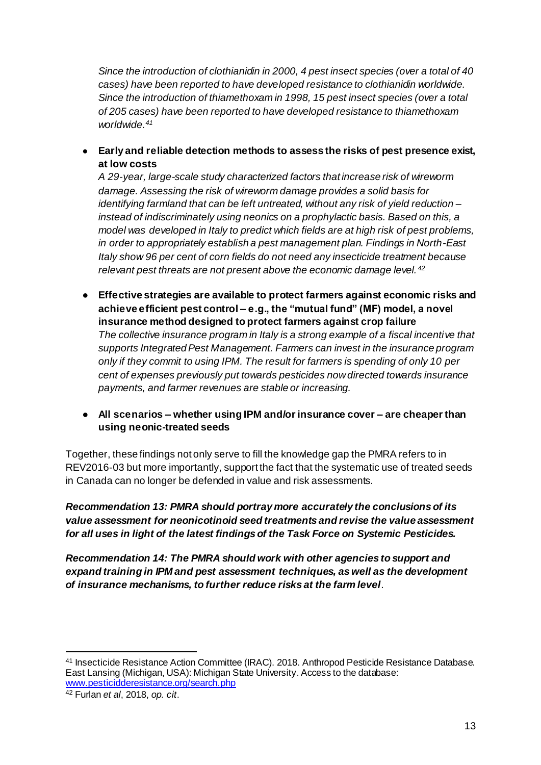*Since the introduction of clothianidin in 2000, 4 pest insect species (over a total of 40 cases) have been reported to have developed resistance to clothianidin worldwide. Since the introduction of thiamethoxam in 1998, 15 pest insect species (over a total of 205 cases) have been reported to have developed resistance to thiamethoxam worldwide.<sup>41</sup>*

● **Early and reliable detection methods to assess the risks of pest presence exist, at low costs**

*A 29-year, large-scale study characterized factors that increase risk of wireworm damage. Assessing the risk of wireworm damage provides a solid basis for identifying farmland that can be left untreated, without any risk of yield reduction – instead of indiscriminately using neonics on a prophylactic basis. Based on this, a model was developed in Italy to predict which fields are at high risk of pest problems, in order to appropriately establish a pest management plan. Findings in North-East Italy show 96 per cent of corn fields do not need any insecticide treatment because relevant pest threats are not present above the economic damage level. <sup>42</sup>*

- **Effective strategies are available to protect farmers against economic risks and achieve efficient pest control – e.g., the "mutual fund" (MF) model, a novel insurance method designed to protect farmers against crop failure** *The collective insurance program in Italy is a strong example of a fiscal incentive that supports Integrated Pest Management. Farmers can invest in the insurance program only if they commit to using IPM. The result for farmers is spending of only 10 per cent of expenses previously put towards pesticides now directed towards insurance payments, and farmer revenues are stable or increasing.*
- **All scenarios – whether using IPM and/or insurance cover – are cheaper than using neonic-treated seeds**

Together, these findings not only serve to fill the knowledge gap the PMRA refers to in REV2016-03 but more importantly, support the fact that the systematic use of treated seeds in Canada can no longer be defended in value and risk assessments.

*Recommendation 13: PMRA should portray more accurately the conclusions of its value assessment for neonicotinoid seed treatments and revise the value assessment for all uses in light of the latest findings of the Task Force on Systemic Pesticides.*

*Recommendation 14: The PMRA should work with other agencies to support and expand training in IPM and pest assessment techniques, as well as the development of insurance mechanisms, to further reduce risks at the farm level.* 

<sup>41</sup> Insecticide Resistance Action Committee (IRAC). 2018. Anthropod Pesticide Resistance Database. East Lansing (Michigan, USA): Michigan State University. Access to the database: [www.pesticidderesistance.org/search.php](http://www.pesticidderesistance.org/search.php)

<sup>42</sup> Furlan *et al*, 2018, *op. cit*.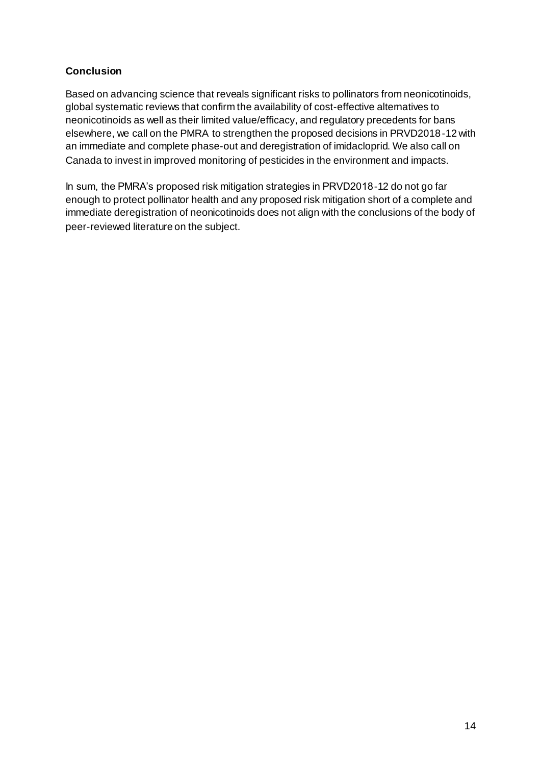#### **Conclusion**

Based on advancing science that reveals significant risks to pollinators from neonicotinoids, global systematic reviews that confirm the availability of cost-effective alternatives to neonicotinoids as well as their limited value/efficacy, and regulatory precedents for bans elsewhere, we call on the PMRA to strengthen the proposed decisions in PRVD2018-12 with an immediate and complete phase-out and deregistration of imidacloprid. We also call on Canada to invest in improved monitoring of pesticides in the environment and impacts.

In sum, the PMRA's proposed risk mitigation strategies in PRVD2018-12 do not go far enough to protect pollinator health and any proposed risk mitigation short of a complete and immediate deregistration of neonicotinoids does not align with the conclusions of the body of peer-reviewed literature on the subject.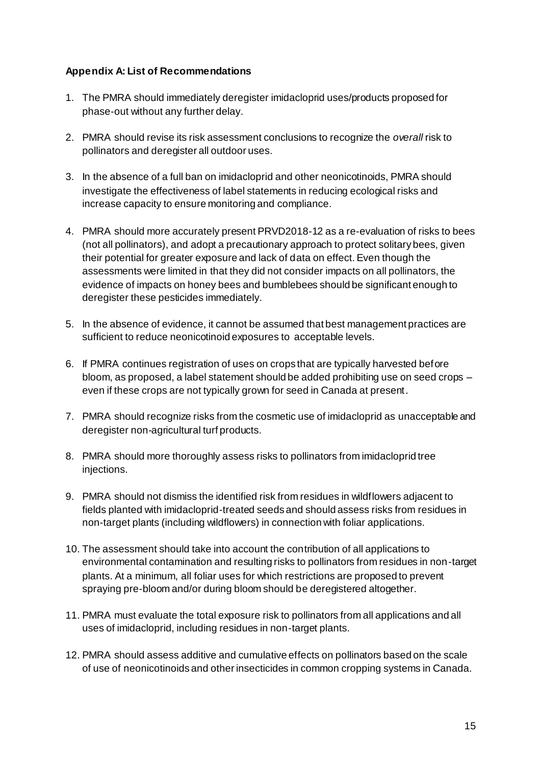#### **Appendix A: List of Recommendations**

- 1. The PMRA should immediately deregister imidacloprid uses/products proposed for phase-out without any further delay.
- 2. PMRA should revise its risk assessment conclusions to recognize the *overall* risk to pollinators and deregister all outdoor uses.
- 3. In the absence of a full ban on imidacloprid and other neonicotinoids, PMRA should investigate the effectiveness of label statements in reducing ecological risks and increase capacity to ensure monitoring and compliance.
- 4. PMRA should more accurately present PRVD2018-12 as a re-evaluation of risks to bees (not all pollinators), and adopt a precautionary approach to protect solitary bees, given their potential for greater exposure and lack of data on effect. Even though the assessments were limited in that they did not consider impacts on all pollinators, the evidence of impacts on honey bees and bumblebees should be significant enough to deregister these pesticides immediately.
- 5. In the absence of evidence, it cannot be assumed that best management practices are sufficient to reduce neonicotinoid exposures to acceptable levels.
- 6. If PMRA continues registration of uses on crops that are typically harvested before bloom, as proposed, a label statement should be added prohibiting use on seed crops – even if these crops are not typically grown for seed in Canada at present.
- 7. PMRA should recognize risks from the cosmetic use of imidacloprid as unacceptable and deregister non-agricultural turf products.
- 8. PMRA should more thoroughly assess risks to pollinators from imidacloprid tree injections.
- 9. PMRA should not dismiss the identified risk from residues in wildflowers adjacent to fields planted with imidacloprid-treated seeds and should assess risks from residues in non-target plants (including wildflowers) in connection with foliar applications.
- 10. The assessment should take into account the contribution of all applications to environmental contamination and resulting risks to pollinators from residues in non-target plants. At a minimum, all foliar uses for which restrictions are proposed to prevent spraying pre-bloom and/or during bloom should be deregistered altogether.
- 11. PMRA must evaluate the total exposure risk to pollinators from all applications and all uses of imidacloprid, including residues in non-target plants.
- 12. PMRA should assess additive and cumulative effects on pollinators based on the scale of use of neonicotinoids and other insecticides in common cropping systems in Canada.